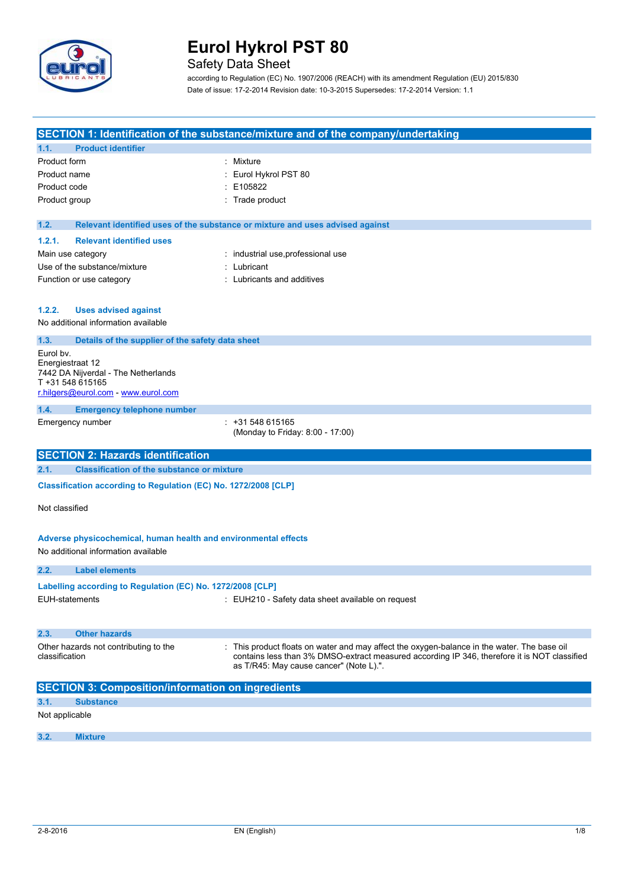

## Safety Data Sheet

according to Regulation (EC) No. 1907/2006 (REACH) with its amendment Regulation (EU) 2015/830 Date of issue: 17-2-2014 Revision date: 10-3-2015 Supersedes: 17-2-2014 Version: 1.1

|                   |                                                                                                        | SECTION 1: Identification of the substance/mixture and of the company/undertaking                                                                                                                                                      |
|-------------------|--------------------------------------------------------------------------------------------------------|----------------------------------------------------------------------------------------------------------------------------------------------------------------------------------------------------------------------------------------|
| 1.1.              | <b>Product identifier</b>                                                                              |                                                                                                                                                                                                                                        |
| Product form      |                                                                                                        | : Mixture                                                                                                                                                                                                                              |
| Product name      |                                                                                                        | Eurol Hykrol PST 80                                                                                                                                                                                                                    |
| Product code      |                                                                                                        | E105822                                                                                                                                                                                                                                |
| Product group     |                                                                                                        | Trade product                                                                                                                                                                                                                          |
| 1.2.              |                                                                                                        | Relevant identified uses of the substance or mixture and uses advised against                                                                                                                                                          |
| 1.2.1.            | <b>Relevant identified uses</b>                                                                        |                                                                                                                                                                                                                                        |
| Main use category |                                                                                                        | industrial use, professional use                                                                                                                                                                                                       |
|                   | Use of the substance/mixture                                                                           | Lubricant                                                                                                                                                                                                                              |
|                   | Function or use category                                                                               | Lubricants and additives                                                                                                                                                                                                               |
|                   |                                                                                                        |                                                                                                                                                                                                                                        |
| 1.2.2.            | <b>Uses advised against</b>                                                                            |                                                                                                                                                                                                                                        |
|                   | No additional information available                                                                    |                                                                                                                                                                                                                                        |
| 1.3.              | Details of the supplier of the safety data sheet                                                       |                                                                                                                                                                                                                                        |
| Eurol by.         |                                                                                                        |                                                                                                                                                                                                                                        |
| Energiestraat 12  | 7442 DA Nijverdal - The Netherlands                                                                    |                                                                                                                                                                                                                                        |
| T +31 548 615165  |                                                                                                        |                                                                                                                                                                                                                                        |
|                   | r.hilgers@eurol.com - www.eurol.com                                                                    |                                                                                                                                                                                                                                        |
| 1.4.              | <b>Emergency telephone number</b>                                                                      |                                                                                                                                                                                                                                        |
|                   | Emergency number                                                                                       | +31 548 615165<br>(Monday to Friday: 8:00 - 17:00)                                                                                                                                                                                     |
|                   |                                                                                                        |                                                                                                                                                                                                                                        |
|                   |                                                                                                        |                                                                                                                                                                                                                                        |
|                   | <b>SECTION 2: Hazards identification</b>                                                               |                                                                                                                                                                                                                                        |
| 2.1.              | <b>Classification of the substance or mixture</b>                                                      |                                                                                                                                                                                                                                        |
|                   | Classification according to Regulation (EC) No. 1272/2008 [CLP]                                        |                                                                                                                                                                                                                                        |
| Not classified    |                                                                                                        |                                                                                                                                                                                                                                        |
|                   |                                                                                                        |                                                                                                                                                                                                                                        |
|                   |                                                                                                        |                                                                                                                                                                                                                                        |
|                   | Adverse physicochemical, human health and environmental effects<br>No additional information available |                                                                                                                                                                                                                                        |
|                   |                                                                                                        |                                                                                                                                                                                                                                        |
| 2.2.              | <b>Label elements</b>                                                                                  |                                                                                                                                                                                                                                        |
|                   | Labelling according to Regulation (EC) No. 1272/2008 [CLP]                                             |                                                                                                                                                                                                                                        |
| EUH-statements    |                                                                                                        | : EUH210 - Safety data sheet available on request                                                                                                                                                                                      |
|                   |                                                                                                        |                                                                                                                                                                                                                                        |
| 2.3.              | <b>Other hazards</b>                                                                                   |                                                                                                                                                                                                                                        |
| classification    | Other hazards not contributing to the                                                                  | : This product floats on water and may affect the oxygen-balance in the water. The base oil<br>contains less than 3% DMSO-extract measured according IP 346, therefore it is NOT classified<br>as T/R45: May cause cancer" (Note L).". |
|                   | <b>SECTION 3: Composition/information on ingredients</b>                                               |                                                                                                                                                                                                                                        |
| 3.1.              | <b>Substance</b>                                                                                       |                                                                                                                                                                                                                                        |
| Not applicable    |                                                                                                        |                                                                                                                                                                                                                                        |
| 3.2.              | <b>Mixture</b>                                                                                         |                                                                                                                                                                                                                                        |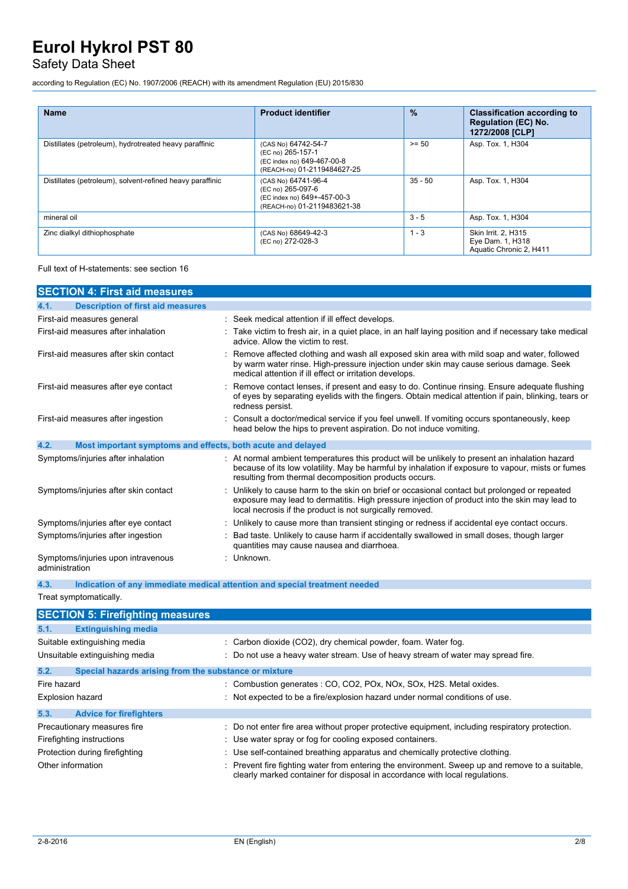## Safety Data Sheet

according to Regulation (EC) No. 1907/2006 (REACH) with its amendment Regulation (EU) 2015/830

| <b>Name</b>                                               | <b>Product identifier</b>                                                                              | $\frac{9}{6}$ | <b>Classification according to</b><br><b>Regulation (EC) No.</b><br>1272/2008 [CLP] |
|-----------------------------------------------------------|--------------------------------------------------------------------------------------------------------|---------------|-------------------------------------------------------------------------------------|
| Distillates (petroleum), hydrotreated heavy paraffinic    | (CAS No) 64742-54-7<br>(EC no) 265-157-1<br>(EC index no) 649-467-00-8<br>(REACH-no) 01-2119484627-25  | $>= 50$       | Asp. Tox. 1, H304                                                                   |
| Distillates (petroleum), solvent-refined heavy paraffinic | (CAS No) 64741-96-4<br>(EC no) 265-097-6<br>(EC index no) 649+-457-00-3<br>(REACH-no) 01-2119483621-38 | 35 - 50       | Asp. Tox. 1, H304                                                                   |
| mineral oil                                               |                                                                                                        | $3 - 5$       | Asp. Tox. 1, H304                                                                   |
| Zinc dialkyl dithiophosphate                              | (CAS No) 68649-42-3<br>(EC no) 272-028-3                                                               | $1 - 3$       | <b>Skin Irrit. 2. H315</b><br>Eye Dam. 1, H318<br>Aquatic Chronic 2, H411           |

Full text of H-statements: see section 16

| <b>SECTION 4: First aid measures</b>                                               |            |                                                                                                                                                                                                                                                            |
|------------------------------------------------------------------------------------|------------|------------------------------------------------------------------------------------------------------------------------------------------------------------------------------------------------------------------------------------------------------------|
| <b>Description of first aid measures</b><br>4.1.                                   |            |                                                                                                                                                                                                                                                            |
| First-aid measures general                                                         |            | Seek medical attention if ill effect develops.                                                                                                                                                                                                             |
| First-aid measures after inhalation                                                |            | Take victim to fresh air, in a quiet place, in an half laying position and if necessary take medical<br>advice. Allow the victim to rest.                                                                                                                  |
| First-aid measures after skin contact                                              |            | Remove affected clothing and wash all exposed skin area with mild soap and water, followed<br>by warm water rinse. High-pressure injection under skin may cause serious damage. Seek<br>medical attention if ill effect or irritation develops.            |
| First-aid measures after eye contact                                               |            | Remove contact lenses, if present and easy to do. Continue rinsing. Ensure adequate flushing<br>of eyes by separating eyelids with the fingers. Obtain medical attention if pain, blinking, tears or<br>redness persist.                                   |
| First-aid measures after ingestion                                                 |            | Consult a doctor/medical service if you feel unwell. If vomiting occurs spontaneously, keep<br>head below the hips to prevent aspiration. Do not induce vomiting.                                                                                          |
| 4.2.<br>Most important symptoms and effects, both acute and delayed                |            |                                                                                                                                                                                                                                                            |
| Symptoms/injuries after inhalation                                                 |            | At normal ambient temperatures this product will be unlikely to present an inhalation hazard<br>because of its low volatility. May be harmful by inhalation if exposure to vapour, mists or fumes<br>resulting from thermal decomposition products occurs. |
| Symptoms/injuries after skin contact                                               |            | Unlikely to cause harm to the skin on brief or occasional contact but prolonged or repeated<br>exposure may lead to dermatitis. High pressure injection of product into the skin may lead to<br>local necrosis if the product is not surgically removed.   |
| Symptoms/injuries after eye contact                                                |            | Unlikely to cause more than transient stinging or redness if accidental eye contact occurs.                                                                                                                                                                |
| Symptoms/injuries after ingestion                                                  |            | Bad taste. Unlikely to cause harm if accidentally swallowed in small doses, though larger<br>quantities may cause nausea and diarrhoea.                                                                                                                    |
| Symptoms/injuries upon intravenous<br>administration                               | : Unknown. |                                                                                                                                                                                                                                                            |
| 4.3.<br>Indication of any immediate medical attention and special treatment needed |            |                                                                                                                                                                                                                                                            |
| Treat symptomatically.                                                             |            |                                                                                                                                                                                                                                                            |
| <b>SECTION 5: Firefighting measures</b>                                            |            |                                                                                                                                                                                                                                                            |
| 5.1.<br><b>Extinguishing media</b>                                                 |            |                                                                                                                                                                                                                                                            |
| Suitable extinguishing media                                                       |            | Carbon dioxide (CO2), dry chemical powder, foam. Water fog.                                                                                                                                                                                                |
| Unsuitable extinguishing media                                                     |            | : Do not use a heavy water stream. Use of heavy stream of water may spread fire.                                                                                                                                                                           |
| 5.2.<br>Special hazards arising from the substance or mixture                      |            |                                                                                                                                                                                                                                                            |
| Fire hazard                                                                        |            | Combustion generates : CO, CO2, POx, NOx, SOx, H2S. Metal oxides.                                                                                                                                                                                          |
| <b>Explosion hazard</b>                                                            |            | Not expected to be a fire/explosion hazard under normal conditions of use.                                                                                                                                                                                 |
| 5.3.<br><b>Advice for firefighters</b>                                             |            |                                                                                                                                                                                                                                                            |
| Precautionary measures fire                                                        |            | Do not enter fire area without proper protective equipment, including respiratory protection.                                                                                                                                                              |
| Firefighting instructions                                                          |            | Use water spray or fog for cooling exposed containers.                                                                                                                                                                                                     |
| Protection during firefighting                                                     |            | : Use self-contained breathing apparatus and chemically protective clothing.                                                                                                                                                                               |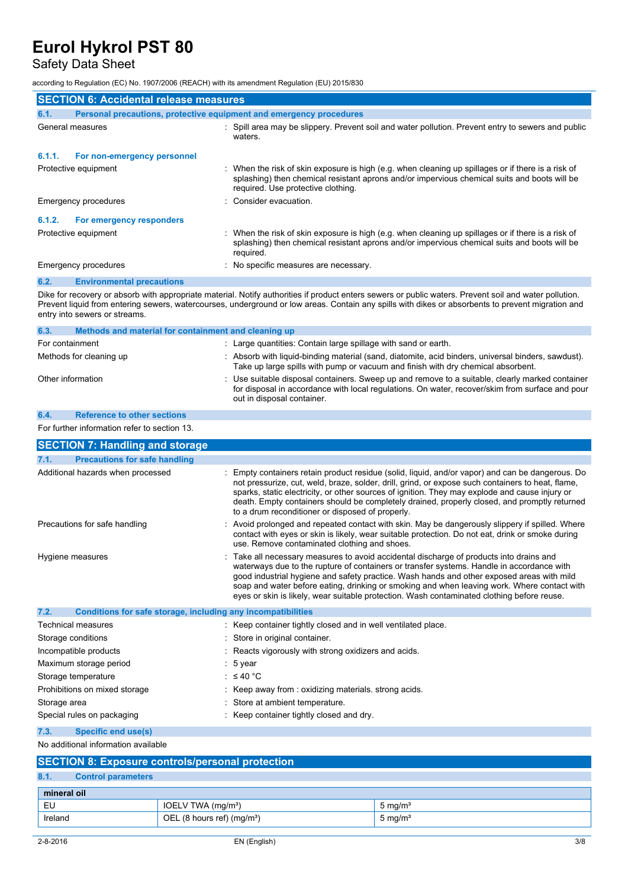# Safety Data Sheet

according to Regulation (EC) No. 1907/2006 (REACH) with its amendment Regulation (EU) 2015/830

| <b>SECTION 6: Accidental release measures</b>                               |                                                                                                                                                                                                                                                                                                                                                                                                                                                                                |  |  |
|-----------------------------------------------------------------------------|--------------------------------------------------------------------------------------------------------------------------------------------------------------------------------------------------------------------------------------------------------------------------------------------------------------------------------------------------------------------------------------------------------------------------------------------------------------------------------|--|--|
| Personal precautions, protective equipment and emergency procedures<br>6.1. |                                                                                                                                                                                                                                                                                                                                                                                                                                                                                |  |  |
| General measures                                                            | : Spill area may be slippery. Prevent soil and water pollution. Prevent entry to sewers and public<br>waters.                                                                                                                                                                                                                                                                                                                                                                  |  |  |
| 6.1.1.<br>For non-emergency personnel                                       |                                                                                                                                                                                                                                                                                                                                                                                                                                                                                |  |  |
| Protective equipment                                                        | : When the risk of skin exposure is high (e.g. when cleaning up spillages or if there is a risk of<br>splashing) then chemical resistant aprons and/or impervious chemical suits and boots will be<br>required. Use protective clothing.                                                                                                                                                                                                                                       |  |  |
| <b>Emergency procedures</b>                                                 | Consider evacuation.                                                                                                                                                                                                                                                                                                                                                                                                                                                           |  |  |
| 6.1.2.<br>For emergency responders                                          |                                                                                                                                                                                                                                                                                                                                                                                                                                                                                |  |  |
| Protective equipment                                                        | : When the risk of skin exposure is high (e.g. when cleaning up spillages or if there is a risk of<br>splashing) then chemical resistant aprons and/or impervious chemical suits and boots will be<br>required.                                                                                                                                                                                                                                                                |  |  |
| Emergency procedures                                                        | No specific measures are necessary.                                                                                                                                                                                                                                                                                                                                                                                                                                            |  |  |
| <b>Environmental precautions</b><br>6.2.                                    |                                                                                                                                                                                                                                                                                                                                                                                                                                                                                |  |  |
| entry into sewers or streams.                                               | Dike for recovery or absorb with appropriate material. Notify authorities if product enters sewers or public waters. Prevent soil and water pollution.<br>Prevent liquid from entering sewers, watercourses, underground or low areas. Contain any spills with dikes or absorbents to prevent migration and                                                                                                                                                                    |  |  |
| 6.3.<br>Methods and material for containment and cleaning up                |                                                                                                                                                                                                                                                                                                                                                                                                                                                                                |  |  |
| For containment                                                             | : Large quantities: Contain large spillage with sand or earth.                                                                                                                                                                                                                                                                                                                                                                                                                 |  |  |
| Methods for cleaning up                                                     | : Absorb with liquid-binding material (sand, diatomite, acid binders, universal binders, sawdust).<br>Take up large spills with pump or vacuum and finish with dry chemical absorbent.                                                                                                                                                                                                                                                                                         |  |  |
| Other information                                                           | Use suitable disposal containers. Sweep up and remove to a suitable, clearly marked container<br>for disposal in accordance with local regulations. On water, recover/skim from surface and pour<br>out in disposal container.                                                                                                                                                                                                                                                 |  |  |
| 6.4.<br><b>Reference to other sections</b>                                  |                                                                                                                                                                                                                                                                                                                                                                                                                                                                                |  |  |
| For further information refer to section 13.                                |                                                                                                                                                                                                                                                                                                                                                                                                                                                                                |  |  |
| <b>SECTION 7: Handling and storage</b>                                      |                                                                                                                                                                                                                                                                                                                                                                                                                                                                                |  |  |
| <b>Precautions for safe handling</b><br>7.1.                                |                                                                                                                                                                                                                                                                                                                                                                                                                                                                                |  |  |
| Additional hazards when processed                                           | Empty containers retain product residue (solid, liquid, and/or vapor) and can be dangerous. Do<br>not pressurize, cut, weld, braze, solder, drill, grind, or expose such containers to heat, flame,<br>sparks, static electricity, or other sources of ignition. They may explode and cause injury or<br>death. Empty containers should be completely drained, properly closed, and promptly returned<br>to a drum reconditioner or disposed of properly.                      |  |  |
| Precautions for safe handling                                               | Avoid prolonged and repeated contact with skin. May be dangerously slippery if spilled. Where<br>contact with eyes or skin is likely, wear suitable protection. Do not eat, drink or smoke during<br>use. Remove contaminated clothing and shoes.                                                                                                                                                                                                                              |  |  |
| Hygiene measures                                                            | : Take all necessary measures to avoid accidental discharge of products into drains and<br>waterways due to the rupture of containers or transfer systems. Handle in accordance with<br>good industrial hygiene and safety practice. Wash hands and other exposed areas with mild<br>soap and water before eating, drinking or smoking and when leaving work. Where contact with<br>eyes or skin is likely, wear suitable protection. Wash contaminated clothing before reuse. |  |  |
| 7.2.<br>Conditions for safe storage, including any incompatibilities        |                                                                                                                                                                                                                                                                                                                                                                                                                                                                                |  |  |
| Technical measures                                                          | : Keep container tightly closed and in well ventilated place.                                                                                                                                                                                                                                                                                                                                                                                                                  |  |  |
| Storage conditions                                                          | : Store in original container.                                                                                                                                                                                                                                                                                                                                                                                                                                                 |  |  |
| Incompatible products                                                       | Reacts vigorously with strong oxidizers and acids.                                                                                                                                                                                                                                                                                                                                                                                                                             |  |  |
| Maximum storage period                                                      | 5 year                                                                                                                                                                                                                                                                                                                                                                                                                                                                         |  |  |
| Storage temperature                                                         | : $\leq 40$ °C                                                                                                                                                                                                                                                                                                                                                                                                                                                                 |  |  |
| Prohibitions on mixed storage                                               | : Keep away from : oxidizing materials. strong acids.                                                                                                                                                                                                                                                                                                                                                                                                                          |  |  |
| Storage area                                                                | Store at ambient temperature.                                                                                                                                                                                                                                                                                                                                                                                                                                                  |  |  |
| Special rules on packaging                                                  | Keep container tightly closed and dry.                                                                                                                                                                                                                                                                                                                                                                                                                                         |  |  |
| 7.3.<br>Specific end use(s)                                                 |                                                                                                                                                                                                                                                                                                                                                                                                                                                                                |  |  |

No additional information available

| <b>SECTION 8: Exposure controls/personal protection</b> |                           |                                |                    |
|---------------------------------------------------------|---------------------------|--------------------------------|--------------------|
| 8.1.                                                    | <b>Control parameters</b> |                                |                    |
| mineral oil                                             |                           |                                |                    |
| EU                                                      |                           | IOELV TWA (mg/m <sup>3</sup> ) | $5 \text{ mg/m}^3$ |
| Ireland                                                 |                           | OEL (8 hours ref) $(mg/m3)$    | $5 \text{ mg/m}^3$ |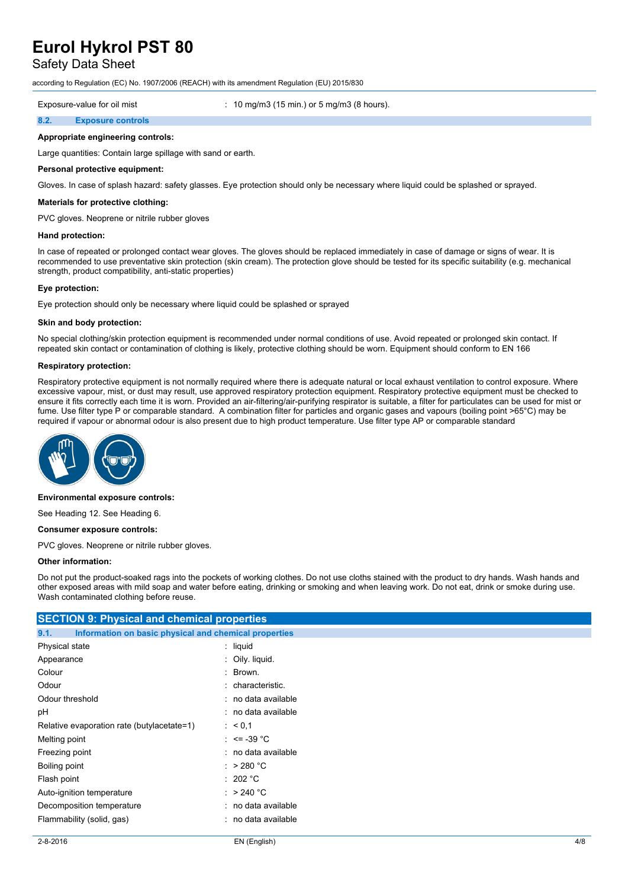## Safety Data Sheet

according to Regulation (EC) No. 1907/2006 (REACH) with its amendment Regulation (EU) 2015/830

Exposure-value for oil mist : 10 mg/m3 (15 min.) or 5 mg/m3 (8 hours).

#### **8.2. Exposure controls**

## **Appropriate engineering controls:**

Large quantities: Contain large spillage with sand or earth.

#### **Personal protective equipment:**

Gloves. In case of splash hazard: safety glasses. Eye protection should only be necessary where liquid could be splashed or sprayed.

#### **Materials for protective clothing:**

PVC gloves. Neoprene or nitrile rubber gloves

#### **Hand protection:**

In case of repeated or prolonged contact wear gloves. The gloves should be replaced immediately in case of damage or signs of wear. It is recommended to use preventative skin protection (skin cream). The protection glove should be tested for its specific suitability (e.g. mechanical strength, product compatibility, anti-static properties)

#### **Eye protection:**

Eye protection should only be necessary where liquid could be splashed or sprayed

#### **Skin and body protection:**

No special clothing/skin protection equipment is recommended under normal conditions of use. Avoid repeated or prolonged skin contact. If repeated skin contact or contamination of clothing is likely, protective clothing should be worn. Equipment should conform to EN 166

#### **Respiratory protection:**

Respiratory protective equipment is not normally required where there is adequate natural or local exhaust ventilation to control exposure. Where excessive vapour, mist, or dust may result, use approved respiratory protection equipment. Respiratory protective equipment must be checked to ensure it fits correctly each time it is worn. Provided an air-filtering/air-purifying respirator is suitable, a filter for particulates can be used for mist or fume. Use filter type P or comparable standard. A combination filter for particles and organic gases and vapours (boiling point >65°C) may be required if vapour or abnormal odour is also present due to high product temperature. Use filter type AP or comparable standard



#### **Environmental exposure controls:**

See Heading 12. See Heading 6.

#### **Consumer exposure controls:**

PVC gloves. Neoprene or nitrile rubber gloves.

#### **Other information:**

Do not put the product-soaked rags into the pockets of working clothes. Do not use cloths stained with the product to dry hands. Wash hands and other exposed areas with mild soap and water before eating, drinking or smoking and when leaving work. Do not eat, drink or smoke during use. Wash contaminated clothing before reuse.

| <b>SECTION 9: Physical and chemical properties</b>            |                     |  |  |
|---------------------------------------------------------------|---------------------|--|--|
| Information on basic physical and chemical properties<br>9.1. |                     |  |  |
| Physical state                                                | $:$ liquid          |  |  |
| Appearance                                                    | : Oily. liquid.     |  |  |
| Colour                                                        | : Brown.            |  |  |
| Odour                                                         | : characteristic.   |  |  |
| Odour threshold                                               | : no data available |  |  |
| рH                                                            | : no data available |  |  |
| Relative evaporation rate (butylacetate=1)                    | : 60,1              |  |  |
| Melting point                                                 | : $\le$ = -39 °C    |  |  |
| Freezing point                                                | : no data available |  |  |
| Boiling point                                                 | : $>280 °C$         |  |  |
| Flash point                                                   | : 202 °C            |  |  |
| Auto-ignition temperature                                     | : $>240^{\circ}$ C  |  |  |
| Decomposition temperature                                     | : no data available |  |  |
| Flammability (solid, gas)                                     | : no data available |  |  |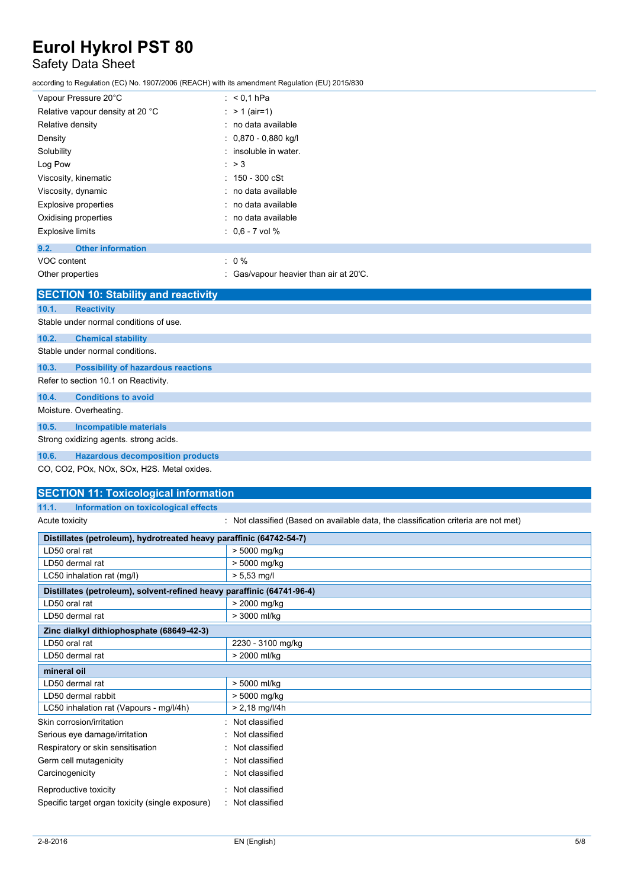## Safety Data Sheet

according to Regulation (EC) No. 1907/2006 (REACH) with its amendment Regulation (EU) 2015/830

| Vapour Pressure 20°C             | : $< 0.1$ hPa             |
|----------------------------------|---------------------------|
| Relative vapour density at 20 °C | : $> 1$ (air=1)           |
| Relative density                 | : no data available       |
| Density                          | $: 0,870 - 0,880$ kg/l    |
| Solubility                       | : insoluble in water.     |
| Log Pow                          | $\therefore$ > 3          |
| Viscosity, kinematic             | $: 150 - 300 \text{ cSt}$ |
| Viscosity, dynamic               | : no data available       |
| Explosive properties             | : no data available       |
| Oxidising properties             | : no data available       |
| <b>Explosive limits</b>          | $: 0.6 - 7$ vol %         |
| 9.2.<br><b>Other information</b> |                           |
| VOC content                      | $: 0 \%$                  |

Other properties : Gas/vapour heavier than air at 20°C. **SECTION 10: Stability and reactivity 10.1. Reactivity** Stable under normal conditions of use. **10.2. Chemical stability** Stable under normal conditions. **10.3. Possibility of hazardous reactions** Refer to section 10.1 on Reactivity. **10.4. Conditions to avoid** Moisture. Overheating. **10.5. Incompatible materials** Strong oxidizing agents. strong acids. **10.6. Hazardous decomposition products**

CO, CO2, POx, NOx, SOx, H2S. Metal oxides.

## **SECTION 11: Toxicological information**

### **11.1. Information on toxicological effects**

Acute toxicity **interest in the classified (Based on available data, the classification criteria are not met)** 

| Distillates (petroleum), hydrotreated heavy paraffinic (64742-54-7)    |                   |  |
|------------------------------------------------------------------------|-------------------|--|
| LD50 oral rat                                                          | > 5000 mg/kg      |  |
| LD50 dermal rat                                                        | > 5000 mg/kg      |  |
| LC50 inhalation rat (mg/l)                                             | $> 5.53$ mg/l     |  |
| Distillates (petroleum), solvent-refined heavy paraffinic (64741-96-4) |                   |  |
| LD50 oral rat                                                          | > 2000 mg/kg      |  |
| LD50 dermal rat                                                        | > 3000 ml/kg      |  |
| Zinc dialkyl dithiophosphate (68649-42-3)                              |                   |  |
| LD50 oral rat                                                          | 2230 - 3100 mg/kg |  |
| LD50 dermal rat                                                        | > 2000 ml/kg      |  |
| mineral oil                                                            |                   |  |
| LD50 dermal rat                                                        | > 5000 ml/kg      |  |
| LD50 dermal rabbit                                                     | > 5000 mg/kg      |  |
| LC50 inhalation rat (Vapours - mg/l/4h)                                | > 2,18 mg/l/4h    |  |
| Skin corrosion/irritation                                              | Not classified    |  |
| Serious eye damage/irritation                                          | Not classified    |  |
| Respiratory or skin sensitisation                                      | Not classified    |  |
| Germ cell mutagenicity                                                 | Not classified    |  |
| Carcinogenicity                                                        | Not classified    |  |
| Reproductive toxicity                                                  | Not classified    |  |
| Specific target organ toxicity (single exposure)                       | Not classified    |  |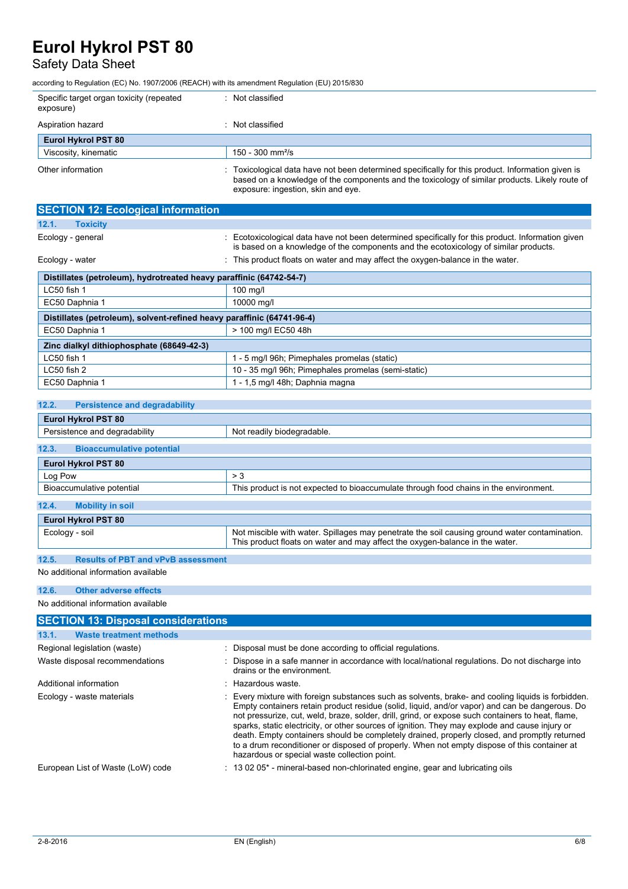## Safety Data Sheet

according to Regulation (EC) No. 1907/2006 (REACH) with its amendment Regulation (EU) 2015/830

| Specific target organ toxicity (repeated<br>exposure) | Not classified                                                                                                                                                                                                                          |
|-------------------------------------------------------|-----------------------------------------------------------------------------------------------------------------------------------------------------------------------------------------------------------------------------------------|
| Aspiration hazard                                     | Not classified                                                                                                                                                                                                                          |
| <b>Eurol Hykrol PST 80</b>                            |                                                                                                                                                                                                                                         |
| Viscosity, kinematic                                  | $150 - 300$ mm <sup>2</sup> /s                                                                                                                                                                                                          |
| Other information                                     | Toxicological data have not been determined specifically for this product. Information given is<br>based on a knowledge of the components and the toxicology of similar products. Likely route of<br>exposure: ingestion, skin and eye. |

| <b>SECTION 12: Ecological information</b>                              |                                                                                                                                                                                         |  |  |
|------------------------------------------------------------------------|-----------------------------------------------------------------------------------------------------------------------------------------------------------------------------------------|--|--|
| 12.1.<br><b>Toxicity</b>                                               |                                                                                                                                                                                         |  |  |
| Ecology - general                                                      | Ecotoxicological data have not been determined specifically for this product. Information given<br>is based on a knowledge of the components and the ecotoxicology of similar products. |  |  |
| Ecology - water                                                        | : This product floats on water and may affect the oxygen-balance in the water.                                                                                                          |  |  |
| Distillates (petroleum), hydrotreated heavy paraffinic (64742-54-7)    |                                                                                                                                                                                         |  |  |
| LC50 fish 1                                                            | 100 mg/l                                                                                                                                                                                |  |  |
| EC50 Daphnia 1                                                         | 10000 mg/l                                                                                                                                                                              |  |  |
| Distillates (petroleum), solvent-refined heavy paraffinic (64741-96-4) |                                                                                                                                                                                         |  |  |
| EC50 Daphnia 1                                                         | > 100 mg/l EC50 48h                                                                                                                                                                     |  |  |
| Zinc dialkyl dithiophosphate (68649-42-3)                              |                                                                                                                                                                                         |  |  |
| LC50 fish 1                                                            | 1 - 5 mg/l 96h; Pimephales promelas (static)                                                                                                                                            |  |  |
| LC50 fish 2                                                            | 10 - 35 mg/l 96h; Pimephales promelas (semi-static)                                                                                                                                     |  |  |
| EC50 Daphnia 1                                                         | 1 - 1,5 mg/l 48h; Daphnia magna                                                                                                                                                         |  |  |

## **12.2. Persistence and degradability**

| <b>Eurol Hykrol PST 80</b>                |                                                                                                                                                                               |  |  |
|-------------------------------------------|-------------------------------------------------------------------------------------------------------------------------------------------------------------------------------|--|--|
| Persistence and degradability             | Not readily biodegradable.                                                                                                                                                    |  |  |
|                                           |                                                                                                                                                                               |  |  |
| 12.3.<br><b>Bioaccumulative potential</b> |                                                                                                                                                                               |  |  |
| <b>Eurol Hykrol PST 80</b>                |                                                                                                                                                                               |  |  |
| Log Pow                                   | > 3                                                                                                                                                                           |  |  |
| Bioaccumulative potential                 | This product is not expected to bioaccumulate through food chains in the environment.                                                                                         |  |  |
|                                           |                                                                                                                                                                               |  |  |
| 12.4.<br><b>Mobility in soil</b>          |                                                                                                                                                                               |  |  |
| <b>Eurol Hykrol PST 80</b>                |                                                                                                                                                                               |  |  |
| Ecology - soil                            | Not miscible with water. Spillages may penetrate the soil causing ground water contamination.<br>This product floats on water and may affect the oxygen-balance in the water. |  |  |

### **12.5. Results of PBT and vPvB assessment**

No additional information available

### **12.6. Other adverse effects**

No additional information available

| <b>SECTION 13: Disposal considerations</b>                                                                                                                                                                                                                                                                                                                                                                                                                                                                                                                                                                                                                  |  |  |  |
|-------------------------------------------------------------------------------------------------------------------------------------------------------------------------------------------------------------------------------------------------------------------------------------------------------------------------------------------------------------------------------------------------------------------------------------------------------------------------------------------------------------------------------------------------------------------------------------------------------------------------------------------------------------|--|--|--|
|                                                                                                                                                                                                                                                                                                                                                                                                                                                                                                                                                                                                                                                             |  |  |  |
| : Disposal must be done according to official regulations.                                                                                                                                                                                                                                                                                                                                                                                                                                                                                                                                                                                                  |  |  |  |
| : Dispose in a safe manner in accordance with local/national regulations. Do not discharge into<br>drains or the environment.                                                                                                                                                                                                                                                                                                                                                                                                                                                                                                                               |  |  |  |
| : Hazardous waste.                                                                                                                                                                                                                                                                                                                                                                                                                                                                                                                                                                                                                                          |  |  |  |
| : Every mixture with foreign substances such as solvents, brake- and cooling liquids is forbidden.<br>Empty containers retain product residue (solid, liquid, and/or vapor) and can be dangerous. Do<br>not pressurize, cut, weld, braze, solder, drill, grind, or expose such containers to heat, flame,<br>sparks, static electricity, or other sources of ignition. They may explode and cause injury or<br>death. Empty containers should be completely drained, properly closed, and promptly returned<br>to a drum reconditioner or disposed of properly. When not empty dispose of this container at<br>hazardous or special waste collection point. |  |  |  |
| $\therefore$ 13 02 05 <sup>*</sup> - mineral-based non-chlorinated engine, gear and lubricating oils                                                                                                                                                                                                                                                                                                                                                                                                                                                                                                                                                        |  |  |  |
|                                                                                                                                                                                                                                                                                                                                                                                                                                                                                                                                                                                                                                                             |  |  |  |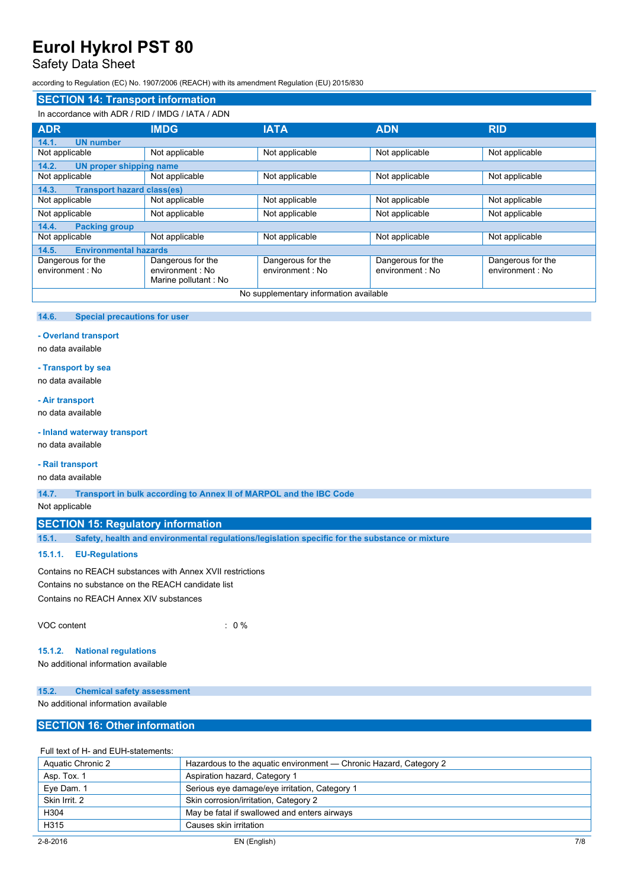## Safety Data Sheet

according to Regulation (EC) No. 1907/2006 (REACH) with its amendment Regulation (EU) 2015/830

#### **SECTION 14: Transport information** In accordance with ADR / RID / IMDG / IATA / ADN **ADR IMDG IATA ADN RID 14.1. UN number** Not applicable Not applicable Not applicable Not applicable Not applicable Not applicable Not applicable **14.2. UN proper shipping name** Not applicable Not applicable Not applicable Not applicable Not applicable Not applicable Not applicable **14.3. Transport hazard class(es)** Not applicable Not applicable Not applicable Not applicable Not applicable Not applicable Not applicable Not applicable Not applicable Not applicable Not applicable Not applicable Not applicable **14.4. Packing group** Not applicable Not applicable Not applicable Not applicable Not applicable **14.5. Environmental hazards** Dangerous for the environment : No Dangerous for the environment : No Marine pollutant : No Dangerous for the environment : No Dangerous for the environment : No Dangerous for the environment : No No supplementary information available

#### **14.6. Special precautions for user**

### **- Overland transport**

no data available

## **- Transport by sea**

no data available

### **- Air transport**

no data available

#### **- Inland waterway transport**

no data available

#### **- Rail transport**

no data available

**14.7. Transport in bulk according to Annex II of MARPOL and the IBC Code**

Not applicable

## **SECTION 15: Regulatory information**

**15.1. Safety, health and environmental regulations/legislation specific for the substance or mixture**

### **15.1.1. EU-Regulations**

Contains no REACH substances with Annex XVII restrictions Contains no substance on the REACH candidate list Contains no REACH Annex XIV substances

VOC content : 0 %

### **15.1.2. National regulations**

No additional information available

### **15.2. Chemical safety assessment**

No additional information available

## **SECTION 16: Other information**

### Full text of H- and EUH-statements:

| Aquatic Chronic 2 | Hazardous to the aquatic environment — Chronic Hazard, Category 2 |
|-------------------|-------------------------------------------------------------------|
| Asp. Tox. 1       | Aspiration hazard, Category 1                                     |
| Eye Dam. 1        | Serious eye damage/eye irritation, Category 1                     |
| Skin Irrit. 2     | Skin corrosion/irritation, Category 2                             |
| H304              | May be fatal if swallowed and enters airways                      |
| H <sub>315</sub>  | Causes skin irritation                                            |